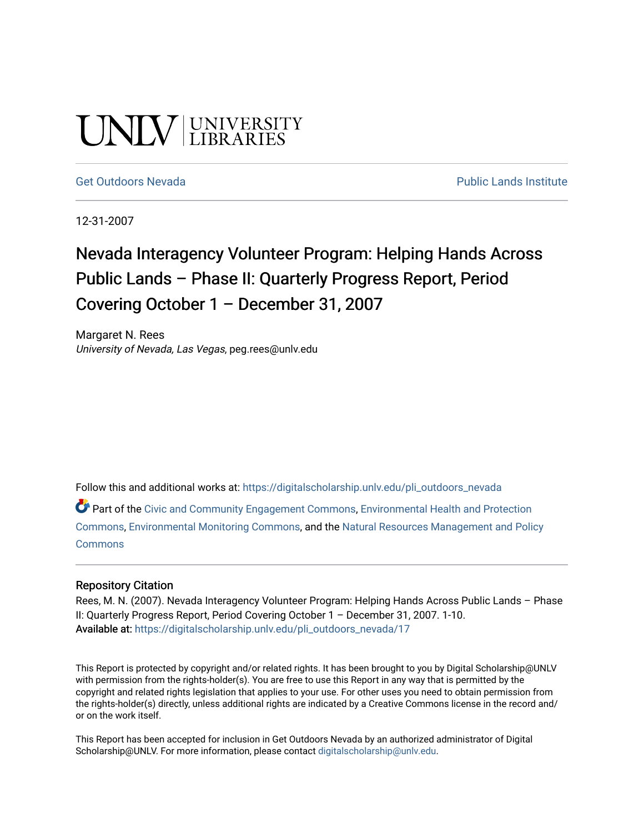# UNIV UNIVERSITY

[Get Outdoors Nevada](https://digitalscholarship.unlv.edu/pli_outdoors_nevada) **Public Lands Institute** Public Lands Institute

12-31-2007

# Nevada Interagency Volunteer Program: Helping Hands Across Public Lands – Phase II: Quarterly Progress Report, Period Covering October 1 – December 31, 2007

Margaret N. Rees University of Nevada, Las Vegas, peg.rees@unlv.edu

Follow this and additional works at: [https://digitalscholarship.unlv.edu/pli\\_outdoors\\_nevada](https://digitalscholarship.unlv.edu/pli_outdoors_nevada?utm_source=digitalscholarship.unlv.edu%2Fpli_outdoors_nevada%2F17&utm_medium=PDF&utm_campaign=PDFCoverPages)

Part of the [Civic and Community Engagement Commons](http://network.bepress.com/hgg/discipline/1028?utm_source=digitalscholarship.unlv.edu%2Fpli_outdoors_nevada%2F17&utm_medium=PDF&utm_campaign=PDFCoverPages), [Environmental Health and Protection](http://network.bepress.com/hgg/discipline/172?utm_source=digitalscholarship.unlv.edu%2Fpli_outdoors_nevada%2F17&utm_medium=PDF&utm_campaign=PDFCoverPages)  [Commons](http://network.bepress.com/hgg/discipline/172?utm_source=digitalscholarship.unlv.edu%2Fpli_outdoors_nevada%2F17&utm_medium=PDF&utm_campaign=PDFCoverPages), [Environmental Monitoring Commons,](http://network.bepress.com/hgg/discipline/931?utm_source=digitalscholarship.unlv.edu%2Fpli_outdoors_nevada%2F17&utm_medium=PDF&utm_campaign=PDFCoverPages) and the [Natural Resources Management and Policy](http://network.bepress.com/hgg/discipline/170?utm_source=digitalscholarship.unlv.edu%2Fpli_outdoors_nevada%2F17&utm_medium=PDF&utm_campaign=PDFCoverPages)  [Commons](http://network.bepress.com/hgg/discipline/170?utm_source=digitalscholarship.unlv.edu%2Fpli_outdoors_nevada%2F17&utm_medium=PDF&utm_campaign=PDFCoverPages)

#### Repository Citation

Rees, M. N. (2007). Nevada Interagency Volunteer Program: Helping Hands Across Public Lands - Phase II: Quarterly Progress Report, Period Covering October 1 – December 31, 2007. 1-10. Available at: [https://digitalscholarship.unlv.edu/pli\\_outdoors\\_nevada/17](https://digitalscholarship.unlv.edu/pli_outdoors_nevada/17) 

This Report is protected by copyright and/or related rights. It has been brought to you by Digital Scholarship@UNLV with permission from the rights-holder(s). You are free to use this Report in any way that is permitted by the copyright and related rights legislation that applies to your use. For other uses you need to obtain permission from the rights-holder(s) directly, unless additional rights are indicated by a Creative Commons license in the record and/ or on the work itself.

This Report has been accepted for inclusion in Get Outdoors Nevada by an authorized administrator of Digital Scholarship@UNLV. For more information, please contact [digitalscholarship@unlv.edu.](mailto:digitalscholarship@unlv.edu)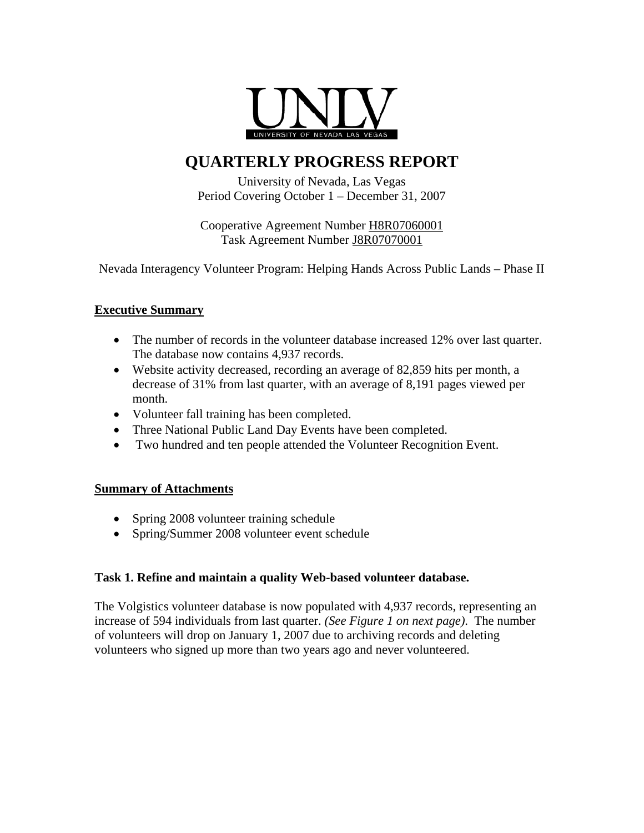

## **QUARTERLY PROGRESS REPORT**

University of Nevada, Las Vegas Period Covering October 1 – December 31, 2007

Cooperative Agreement Number H8R07060001 Task Agreement Number J8R07070001

Nevada Interagency Volunteer Program: Helping Hands Across Public Lands – Phase II

#### **Executive Summary**

- The number of records in the volunteer database increased 12% over last quarter. The database now contains 4,937 records.
- Website activity decreased, recording an average of 82,859 hits per month, a decrease of 31% from last quarter, with an average of 8,191 pages viewed per month.
- Volunteer fall training has been completed.
- Three National Public Land Day Events have been completed.
- Two hundred and ten people attended the Volunteer Recognition Event.

#### **Summary of Attachments**

- Spring 2008 volunteer training schedule
- Spring/Summer 2008 volunteer event schedule

#### **Task 1. Refine and maintain a quality Web-based volunteer database.**

The Volgistics volunteer database is now populated with 4,937 records, representing an increase of 594 individuals from last quarter. *(See Figure 1 on next page)*. The number of volunteers will drop on January 1, 2007 due to archiving records and deleting volunteers who signed up more than two years ago and never volunteered.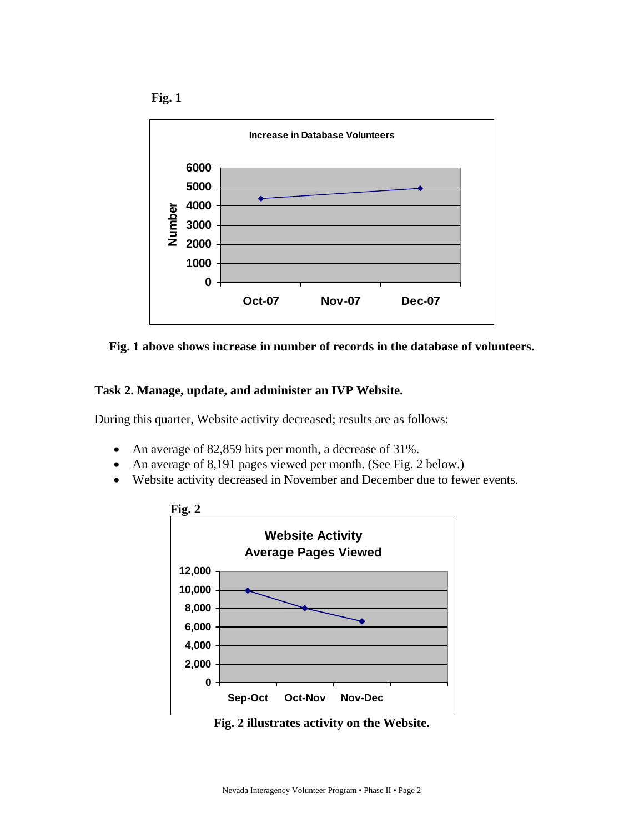





#### **Task 2. Manage, update, and administer an IVP Website.**

During this quarter, Website activity decreased; results are as follows:

- An average of 82,859 hits per month, a decrease of 31%.
- An average of 8,191 pages viewed per month. (See Fig. 2 below.)
- Website activity decreased in November and December due to fewer events.



**Fig. 2 illustrates activity on the Website.**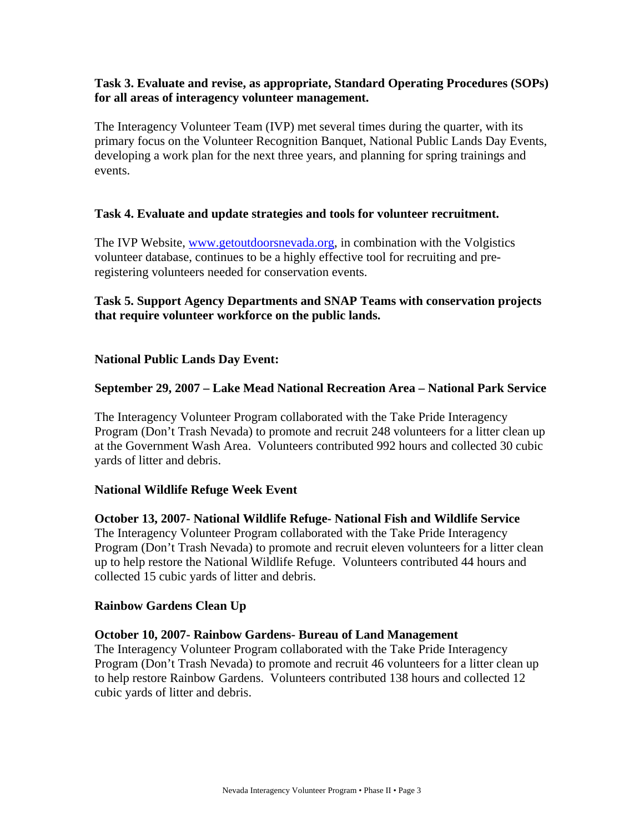#### **Task 3. Evaluate and revise, as appropriate, Standard Operating Procedures (SOPs) for all areas of interagency volunteer management.**

The Interagency Volunteer Team (IVP) met several times during the quarter, with its primary focus on the Volunteer Recognition Banquet, National Public Lands Day Events, developing a work plan for the next three years, and planning for spring trainings and events.

#### **Task 4. Evaluate and update strategies and tools for volunteer recruitment.**

The IVP Website, [www.getoutdoorsnevada.org,](http://www.getoutdoorsnevada.org/) in combination with the Volgistics volunteer database, continues to be a highly effective tool for recruiting and preregistering volunteers needed for conservation events.

#### **Task 5. Support Agency Departments and SNAP Teams with conservation projects that require volunteer workforce on the public lands.**

#### **National Public Lands Day Event:**

#### **September 29, 2007 – Lake Mead National Recreation Area – National Park Service**

The Interagency Volunteer Program collaborated with the Take Pride Interagency Program (Don't Trash Nevada) to promote and recruit 248 volunteers for a litter clean up at the Government Wash Area. Volunteers contributed 992 hours and collected 30 cubic yards of litter and debris.

#### **National Wildlife Refuge Week Event**

**October 13, 2007- National Wildlife Refuge- National Fish and Wildlife Service**  The Interagency Volunteer Program collaborated with the Take Pride Interagency Program (Don't Trash Nevada) to promote and recruit eleven volunteers for a litter clean up to help restore the National Wildlife Refuge. Volunteers contributed 44 hours and collected 15 cubic yards of litter and debris.

#### **Rainbow Gardens Clean Up**

#### **October 10, 2007- Rainbow Gardens- Bureau of Land Management**

The Interagency Volunteer Program collaborated with the Take Pride Interagency Program (Don't Trash Nevada) to promote and recruit 46 volunteers for a litter clean up to help restore Rainbow Gardens. Volunteers contributed 138 hours and collected 12 cubic yards of litter and debris.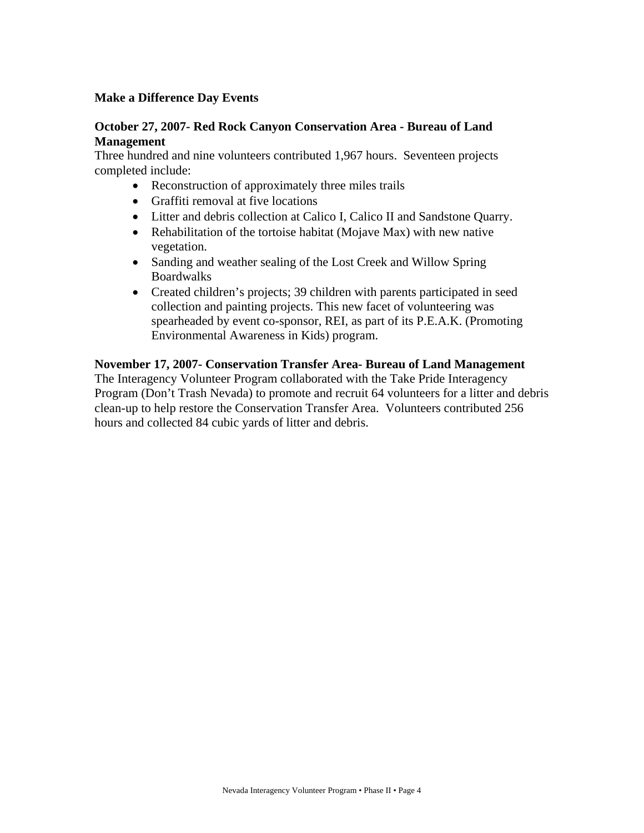#### **Make a Difference Day Events**

#### **October 27, 2007- Red Rock Canyon Conservation Area - Bureau of Land Management**

Three hundred and nine volunteers contributed 1,967 hours. Seventeen projects completed include:

- Reconstruction of approximately three miles trails
- Graffiti removal at five locations
- Litter and debris collection at Calico I, Calico II and Sandstone Quarry.
- Rehabilitation of the tortoise habitat (Mojave Max) with new native vegetation.
- Sanding and weather sealing of the Lost Creek and Willow Spring Boardwalks
- Created children's projects; 39 children with parents participated in seed collection and painting projects. This new facet of volunteering was spearheaded by event co-sponsor, REI, as part of its P.E.A.K. (Promoting Environmental Awareness in Kids) program.

#### **November 17, 2007- Conservation Transfer Area- Bureau of Land Management**

The Interagency Volunteer Program collaborated with the Take Pride Interagency Program (Don't Trash Nevada) to promote and recruit 64 volunteers for a litter and debris clean-up to help restore the Conservation Transfer Area. Volunteers contributed 256 hours and collected 84 cubic yards of litter and debris.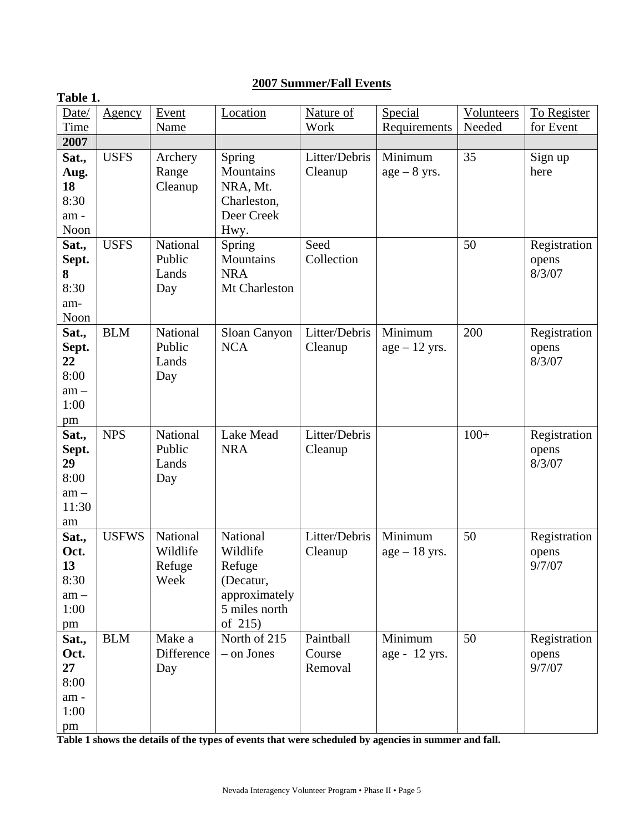#### **2007 Summer/Fall Events**

| Table 1.    |              |             |               |               |                 |            |              |
|-------------|--------------|-------------|---------------|---------------|-----------------|------------|--------------|
| Date/       | Agency       | Event       | Location      | Nature of     | Special         | Volunteers | To Register  |
| <b>Time</b> |              | <b>Name</b> |               | <b>Work</b>   | Requirements    | Needed     | for Event    |
| 2007        |              |             |               |               |                 |            |              |
| Sat.,       | <b>USFS</b>  | Archery     | Spring        | Litter/Debris | Minimum         | 35         | Sign up      |
| Aug.        |              | Range       | Mountains     | Cleanup       | $age - 8 yrs.$  |            | here         |
| 18          |              | Cleanup     | NRA, Mt.      |               |                 |            |              |
| 8:30        |              |             | Charleston,   |               |                 |            |              |
| am-         |              |             | Deer Creek    |               |                 |            |              |
| Noon        |              |             | Hwy.          |               |                 |            |              |
| Sat.,       | <b>USFS</b>  | National    | Spring        | Seed          |                 | 50         | Registration |
| Sept.       |              | Public      | Mountains     | Collection    |                 |            | opens        |
| 8           |              | Lands       | <b>NRA</b>    |               |                 |            | 8/3/07       |
| 8:30        |              | Day         | Mt Charleston |               |                 |            |              |
| am-         |              |             |               |               |                 |            |              |
| Noon        |              |             |               |               |                 |            |              |
| Sat.,       | <b>BLM</b>   | National    | Sloan Canyon  | Litter/Debris | Minimum         | 200        | Registration |
| Sept.       |              | Public      | <b>NCA</b>    | Cleanup       | $age - 12$ yrs. |            | opens        |
| 22          |              | Lands       |               |               |                 |            | 8/3/07       |
| 8:00        |              | Day         |               |               |                 |            |              |
| $am -$      |              |             |               |               |                 |            |              |
| 1:00        |              |             |               |               |                 |            |              |
| pm<br>Sat., | <b>NPS</b>   | National    | Lake Mead     | Litter/Debris |                 | $100+$     | Registration |
| Sept.       |              | Public      | <b>NRA</b>    | Cleanup       |                 |            | opens        |
| 29          |              | Lands       |               |               |                 |            | 8/3/07       |
| 8:00        |              | Day         |               |               |                 |            |              |
| $am -$      |              |             |               |               |                 |            |              |
| 11:30       |              |             |               |               |                 |            |              |
| am          |              |             |               |               |                 |            |              |
| Sat.,       | <b>USFWS</b> | National    | National      | Litter/Debris | Minimum         | 50         | Registration |
| Oct.        |              | Wildlife    | Wildlife      | Cleanup       | $age - 18 yrs.$ |            | opens        |
| 13          |              | Refuge      | Refuge        |               |                 |            | 9/7/07       |
| 8:30        |              | Week        | (Decatur,     |               |                 |            |              |
| $am -$      |              |             | approximately |               |                 |            |              |
| 1:00        |              |             | 5 miles north |               |                 |            |              |
| pm          |              |             | of 215)       |               |                 |            |              |
| Sat.,       | <b>BLM</b>   | Make a      | North of 215  | Paintball     | Minimum         | 50         | Registration |
| Oct.        |              | Difference  | - on Jones    | Course        | age - 12 yrs.   |            | opens        |
| 27          |              | Day         |               | Removal       |                 |            | 9/7/07       |
| 8:00        |              |             |               |               |                 |            |              |
| am-         |              |             |               |               |                 |            |              |
| 1:00        |              |             |               |               |                 |            |              |
| pm          |              |             |               |               |                 |            |              |

**Table 1 shows the details of the types of events that were scheduled by agencies in summer and fall.**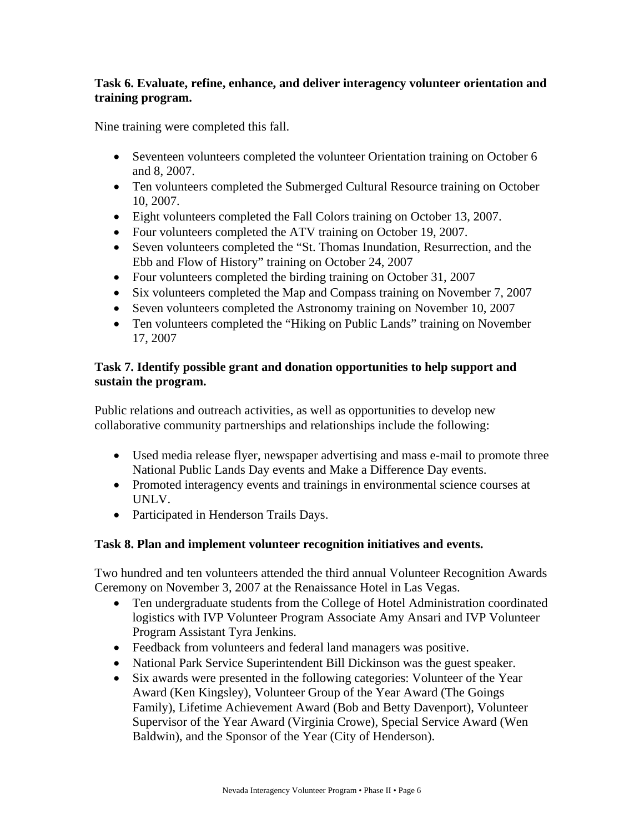#### **Task 6. Evaluate, refine, enhance, and deliver interagency volunteer orientation and training program.**

Nine training were completed this fall.

- Seventeen volunteers completed the volunteer Orientation training on October 6 and 8, 2007.
- Ten volunteers completed the Submerged Cultural Resource training on October 10, 2007.
- Eight volunteers completed the Fall Colors training on October 13, 2007.
- Four volunteers completed the ATV training on October 19, 2007.
- Seven volunteers completed the "St. Thomas Inundation, Resurrection, and the Ebb and Flow of History" training on October 24, 2007
- Four volunteers completed the birding training on October 31, 2007
- Six volunteers completed the Map and Compass training on November 7, 2007
- Seven volunteers completed the Astronomy training on November 10, 2007
- Ten volunteers completed the "Hiking on Public Lands" training on November 17, 2007

#### **Task 7. Identify possible grant and donation opportunities to help support and sustain the program.**

Public relations and outreach activities, as well as opportunities to develop new collaborative community partnerships and relationships include the following:

- Used media release flyer, newspaper advertising and mass e-mail to promote three National Public Lands Day events and Make a Difference Day events.
- Promoted interagency events and trainings in environmental science courses at UNLV.
- Participated in Henderson Trails Days.

#### **Task 8. Plan and implement volunteer recognition initiatives and events.**

Two hundred and ten volunteers attended the third annual Volunteer Recognition Awards Ceremony on November 3, 2007 at the Renaissance Hotel in Las Vegas.

- Ten undergraduate students from the College of Hotel Administration coordinated logistics with IVP Volunteer Program Associate Amy Ansari and IVP Volunteer Program Assistant Tyra Jenkins.
- Feedback from volunteers and federal land managers was positive.
- National Park Service Superintendent Bill Dickinson was the guest speaker.
- Six awards were presented in the following categories: Volunteer of the Year Award (Ken Kingsley), Volunteer Group of the Year Award (The Goings Family), Lifetime Achievement Award (Bob and Betty Davenport), Volunteer Supervisor of the Year Award (Virginia Crowe), Special Service Award (Wen Baldwin), and the Sponsor of the Year (City of Henderson).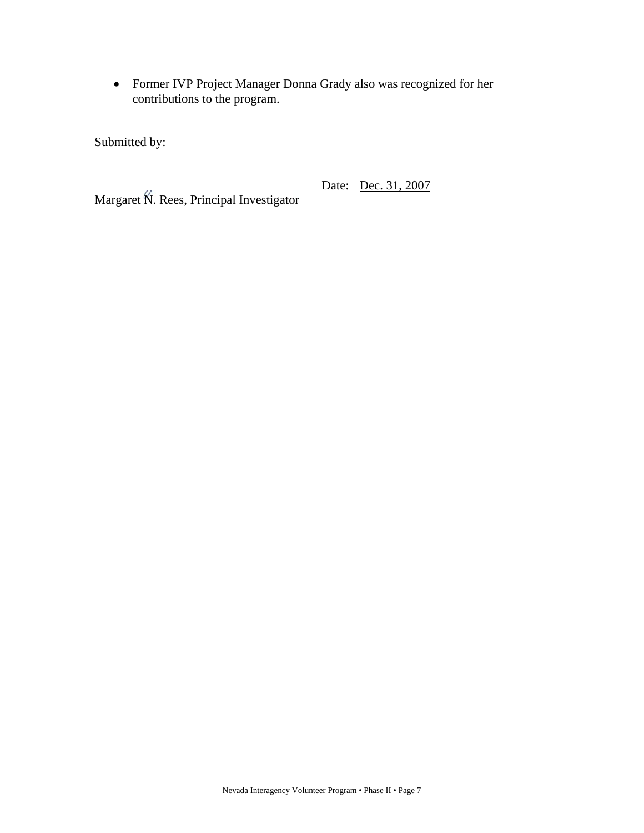• Former IVP Project Manager Donna Grady also was recognized for her contributions to the program.

Submitted by:

Date: Dec. 31, 2007

Margaret N. Rees, Principal Investigator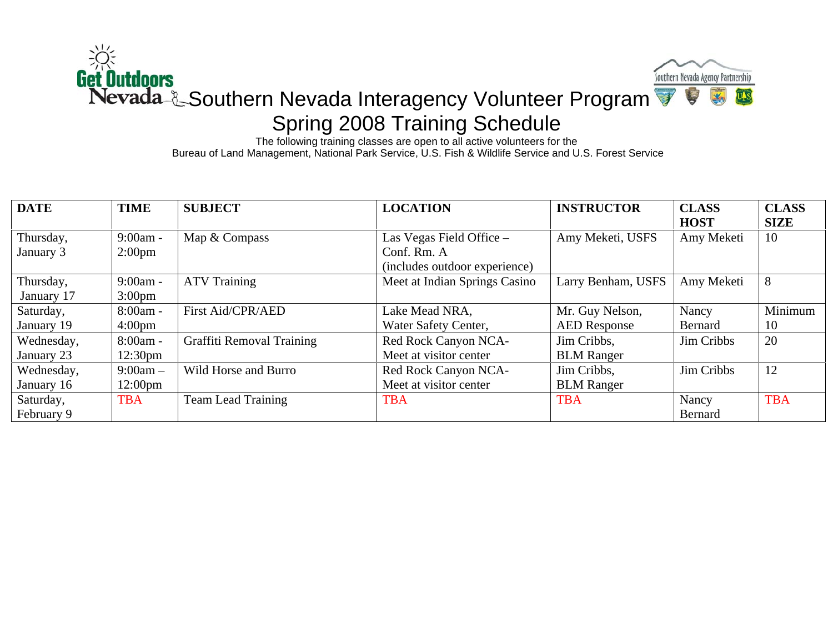

The following training classes are open to all active volunteers for the Bureau of Land Management, National Park Service, U.S. Fish & Wildlife Service and U.S. Forest Service

| <b>DATE</b> | <b>TIME</b>         | <b>SUBJECT</b>            | <b>LOCATION</b>               | <b>INSTRUCTOR</b>   | <b>CLASS</b>   | <b>CLASS</b> |
|-------------|---------------------|---------------------------|-------------------------------|---------------------|----------------|--------------|
|             |                     |                           |                               |                     | <b>HOST</b>    | <b>SIZE</b>  |
| Thursday,   | $9:00am -$          | Map & Compass             | Las Vegas Field Office -      | Amy Meketi, USFS    | Amy Meketi     | 10           |
| January 3   | $2:00 \text{pm}$    |                           | Conf. Rm. A                   |                     |                |              |
|             |                     |                           | (includes outdoor experience) |                     |                |              |
| Thursday,   | $9:00am -$          | <b>ATV Training</b>       | Meet at Indian Springs Casino | Larry Benham, USFS  | Amy Meketi     | 8            |
| January 17  | $3:00 \text{pm}$    |                           |                               |                     |                |              |
| Saturday,   | $8:00am -$          | First Aid/CPR/AED         | Lake Mead NRA,                | Mr. Guy Nelson,     | Nancy          | Minimum      |
| January 19  | $4:00 \text{pm}$    |                           | Water Safety Center,          | <b>AED</b> Response | <b>Bernard</b> | 10           |
| Wednesday,  | $8:00am -$          | Graffiti Removal Training | Red Rock Canyon NCA-          | Jim Cribbs,         | Jim Cribbs     | 20           |
| January 23  | 12:30 <sub>pm</sub> |                           | Meet at visitor center        | <b>BLM</b> Ranger   |                |              |
| Wednesday,  | $9:00am -$          | Wild Horse and Burro      | Red Rock Canyon NCA-          | Jim Cribbs,         | Jim Cribbs     | 12           |
| January 16  | $12:00 \text{pm}$   |                           | Meet at visitor center        | <b>BLM</b> Ranger   |                |              |
| Saturday,   | <b>TBA</b>          | <b>Team Lead Training</b> | <b>TBA</b>                    | <b>TBA</b>          | Nancy          | <b>TBA</b>   |
| February 9  |                     |                           |                               |                     | Bernard        |              |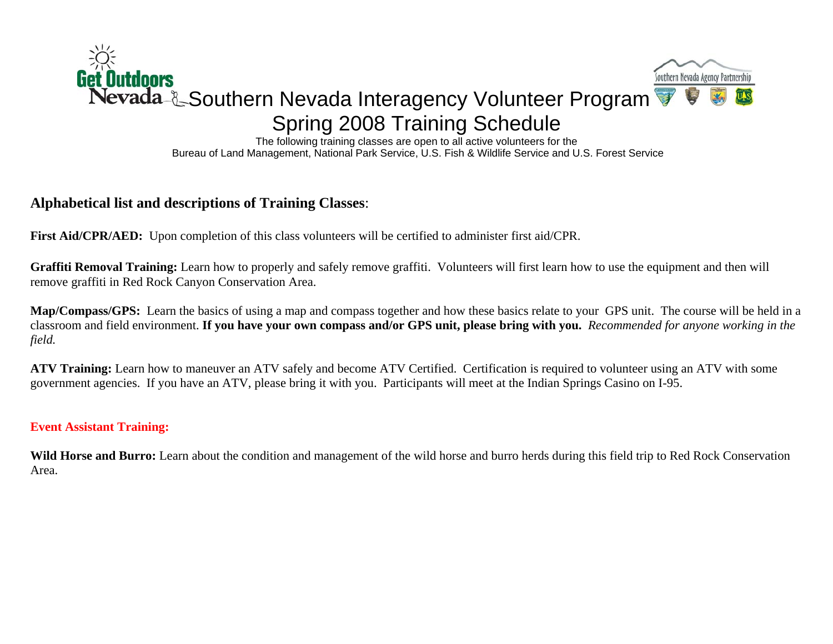

The following training classes are open to all active volunteers for the Bureau of Land Management, National Park Service, U.S. Fish & Wildlife Service and U.S. Forest Service

### **Alphabetical list and descriptions of Training Classes**:

First Aid/CPR/AED: Upon completion of this class volunteers will be certified to administer first aid/CPR.

**Graffiti Removal Training:** Learn how to properly and safely remove graffiti. Volunteers will first learn how to use the equipment and then will remove graffiti in Red Rock Canyon Conservation Area.

**Map/Compass/GPS:** Learn the basics of using a map and compass together and how these basics relate to your GPS unit. The course will be held in a classroom and field environment. **If you have your own compass and/or GPS unit, please bring with you.** *Recommended for anyone working in the field.* 

**ATV Training:** Learn how to maneuver an ATV safely and become ATV Certified. Certification is required to volunteer using an ATV with some government agencies. If you have an ATV, please bring it with you. Participants will meet at the Indian Springs Casino on I-95.

#### **Event Assistant Training:**

Wild Horse and Burro: Learn about the condition and management of the wild horse and burro herds during this field trip to Red Rock Conservation Area.